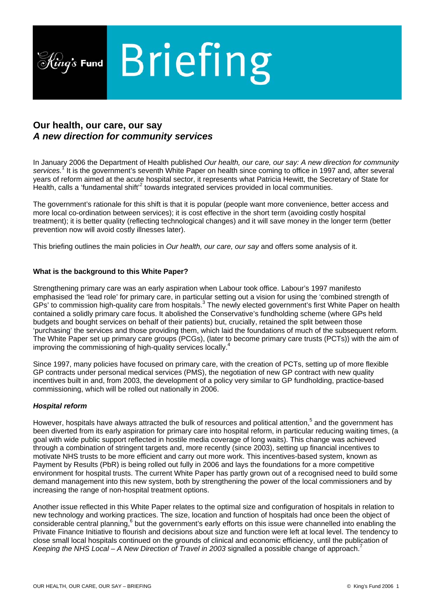

# **Our health, our care, our say**  *A new direction for community services*

In January 2006 the Department of Health published *Our health, our care, our say: A new direction for community services.*[1](#page-5-0) It is the government's seventh White Paper on health since coming to office in 1997 and, after several years of reform aimed at the acute hospital sector, it represents what Patricia Hewitt, the Secretary of State for Health, calls a 'fundamental shift'<sup>[2](#page-5-1)</sup> towards integrated services provided in local communities.

The government's rationale for this shift is that it is popular (people want more convenience, better access and more local co-ordination between services); it is cost effective in the short term (avoiding costly hospital treatment); it is better quality (reflecting technological changes) and it will save money in the longer term (better prevention now will avoid costly illnesses later).

This briefing outlines the main policies in *Our health, our care, our say* and offers some analysis of it.

# **What is the background to this White Paper?**

Strengthening primary care was an early aspiration when Labour took office. Labour's 1997 manifesto emphasised the 'lead role' for primary care, in particular setting out a vision for using the 'combined strength of GPs' to commission high-quality care from hospitals.<sup>[3](#page-5-2)</sup> The newly elected government's first White Paper on health contained a solidly primary care focus. It abolished the Conservative's fundholding scheme (where GPs held budgets and bought services on behalf of their patients) but, crucially, retained the split between those 'purchasing' the services and those providing them, which laid the foundations of much of the subsequent reform. The White Paper set up primary care groups (PCGs), (later to become primary care trusts (PCTs)) with the aim of improving the commissioning of high-quality services locally.<sup>4</sup>

Since 1997, many policies have focused on primary care, with the creation of PCTs, setting up of more flexible GP contracts under personal medical services (PMS), the negotiation of new GP contract with new quality incentives built in and, from 2003, the development of a policy very similar to GP fundholding, practice-based commissioning, which will be rolled out nationally in 2006.

# *Hospital reform*

However, hospitals have always attracted the bulk of resources and political attention,<sup>[5](#page-5-4)</sup> and the government has been diverted from its early aspiration for primary care into hospital reform, in particular reducing waiting times, (a goal with wide public support reflected in hostile media coverage of long waits). This change was achieved through a combination of stringent targets and, more recently (since 2003), setting up financial incentives to motivate NHS trusts to be more efficient and carry out more work. This incentives-based system, known as Payment by Results (PbR) is being rolled out fully in 2006 and lays the foundations for a more competitive environment for hospital trusts. The current White Paper has partly grown out of a recognised need to build some demand management into this new system, both by strengthening the power of the local commissioners and by increasing the range of non-hospital treatment options.

Another issue reflected in this White Paper relates to the optimal size and configuration of hospitals in relation to new technology and working practices. The size, location and function of hospitals had once been the object of considerable central planning,<sup>[6](#page-5-5)</sup> but the government's early efforts on this issue were channelled into enabling the Private Finance Initiative to flourish and decisions about size and function were left at local level. The tendency to close small local hospitals continued on the grounds of clinical and economic efficiency, until the publication of *Keeping the NHS Local – A New Direction of Travel in 2003* signalled a possible change of approach.<sup>[7](#page-5-6)</sup>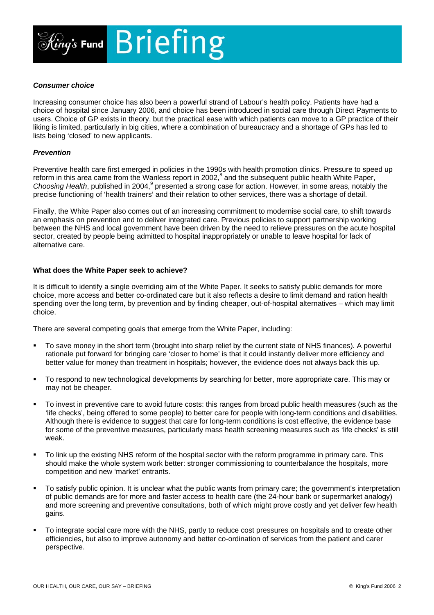

# *Consumer choice*

Increasing consumer choice has also been a powerful strand of Labour's health policy. Patients have had a choice of hospital since January 2006, and choice has been introduced in social care through Direct Payments to users. Choice of GP exists in theory, but the practical ease with which patients can move to a GP practice of their liking is limited, particularly in big cities, where a combination of bureaucracy and a shortage of GPs has led to lists being 'closed' to new applicants.

# *Prevention*

Preventive health care first emerged in policies in the 1990s with health promotion clinics. Pressure to speed up reformin this area came from the Wanless report in 2002,<sup>8</sup> and the subsequent public health White Paper, Choosing Health, published in 2004,<sup>9</sup> presented a strong case for action. However, in some areas, notably the precise functioning of 'health trainers' and their relation to other services, there was a shortage of detail.

Finally, the White Paper also comes out of an increasing commitment to modernise social care, to shift towards an emphasis on prevention and to deliver integrated care. Previous policies to support partnership working between the NHS and local government have been driven by the need to relieve pressures on the acute hospital sector, created by people being admitted to hospital inappropriately or unable to leave hospital for lack of alternative care.

#### **What does the White Paper seek to achieve?**

It is difficult to identify a single overriding aim of the White Paper. It seeks to satisfy public demands for more choice, more access and better co-ordinated care but it also reflects a desire to limit demand and ration health spending over the long term, by prevention and by finding cheaper, out-of-hospital alternatives – which may limit choice.

There are several competing goals that emerge from the White Paper, including:

- To save money in the short term (brought into sharp relief by the current state of NHS finances). A powerful rationale put forward for bringing care 'closer to home' is that it could instantly deliver more efficiency and better value for money than treatment in hospitals; however, the evidence does not always back this up.
- To respond to new technological developments by searching for better, more appropriate care. This may or may not be cheaper.
- To invest in preventive care to avoid future costs: this ranges from broad public health measures (such as the 'life checks', being offered to some people) to better care for people with long-term conditions and disabilities. Although there is evidence to suggest that care for long-term conditions is cost effective, the evidence base for some of the preventive measures, particularly mass health screening measures such as 'life checks' is still weak.
- To link up the existing NHS reform of the hospital sector with the reform programme in primary care. This should make the whole system work better: stronger commissioning to counterbalance the hospitals, more competition and new 'market' entrants.
- To satisfy public opinion. It is unclear what the public wants from primary care; the government's interpretation of public demands are for more and faster access to health care (the 24-hour bank or supermarket analogy) and more screening and preventive consultations, both of which might prove costly and yet deliver few health gains.
- To integrate social care more with the NHS, partly to reduce cost pressures on hospitals and to create other efficiencies, but also to improve autonomy and better co-ordination of services from the patient and carer perspective.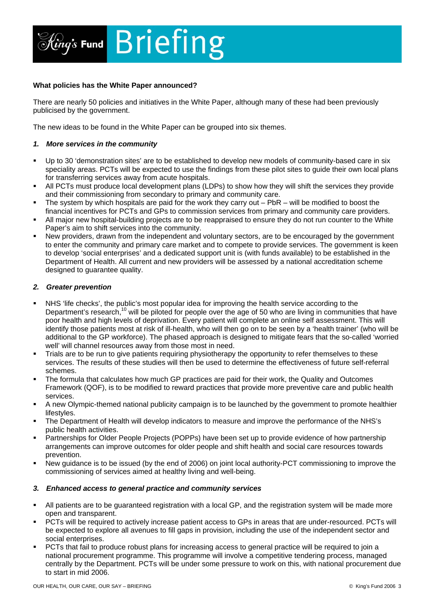

# **What policies has the White Paper announced?**

There are nearly 50 policies and initiatives in the White Paper, although many of these had been previously publicised by the government.

The new ideas to be found in the White Paper can be grouped into six themes.

# *1. More services in the community*

- Up to 30 'demonstration sites' are to be established to develop new models of community-based care in six speciality areas. PCTs will be expected to use the findings from these pilot sites to guide their own local plans for transferring services away from acute hospitals.
- All PCTs must produce local development plans (LDPs) to show how they will shift the services they provide and their commissioning from secondary to primary and community care.
- The system by which hospitals are paid for the work they carry out  $-$  PbR  $-$  will be modified to boost the financial incentives for PCTs and GPs to commission services from primary and community care providers.
- All major new hospital-building projects are to be reappraised to ensure they do not run counter to the White Paper's aim to shift services into the community.
- New providers, drawn from the independent and voluntary sectors, are to be encouraged by the government to enter the community and primary care market and to compete to provide services. The government is keen to develop 'social enterprises' and a dedicated support unit is (with funds available) to be established in the Department of Health. All current and new providers will be assessed by a national accreditation scheme designed to guarantee quality.

# *2. Greater prevention*

- NHS 'life checks', the public's most popular idea for improving the health service according to the Department's research,<sup>10</sup> will be piloted for people over the age of 50 who are living in communities that have poor health and high levels of deprivation. Every patient will complete an online self assessment. This will identify those patients most at risk of ill-health, who will then go on to be seen by a 'health trainer' (who will be additional to the GP workforce). The phased approach is designed to mitigate fears that the so-called 'worried well' will channel resources away from those most in need.
- Trials are to be run to give patients requiring physiotherapy the opportunity to refer themselves to these services. The results of these studies will then be used to determine the effectiveness of future self-referral schemes.
- The formula that calculates how much GP practices are paid for their work, the Quality and Outcomes Framework (QOF), is to be modified to reward practices that provide more preventive care and public health services.
- A new Olympic-themed national publicity campaign is to be launched by the government to promote healthier lifestyles.
- The Department of Health will develop indicators to measure and improve the performance of the NHS's public health activities.
- **Partnerships for Older People Projects (POPPs) have been set up to provide evidence of how partnership** arrangements can improve outcomes for older people and shift health and social care resources towards prevention.
- New guidance is to be issued (by the end of 2006) on joint local authority-PCT commissioning to improve the commissioning of services aimed at healthy living and well-being.

# *3. Enhanced access to general practice and community services*

- All patients are to be guaranteed registration with a local GP, and the registration system will be made more open and transparent.
- PCTs will be required to actively increase patient access to GPs in areas that are under-resourced. PCTs will be expected to explore all avenues to fill gaps in provision, including the use of the independent sector and social enterprises.
- PCTs that fail to produce robust plans for increasing access to general practice will be required to join a national procurement programme. This programme will involve a competitive tendering process, managed centrally by the Department. PCTs will be under some pressure to work on this, with national procurement due to start in mid 2006.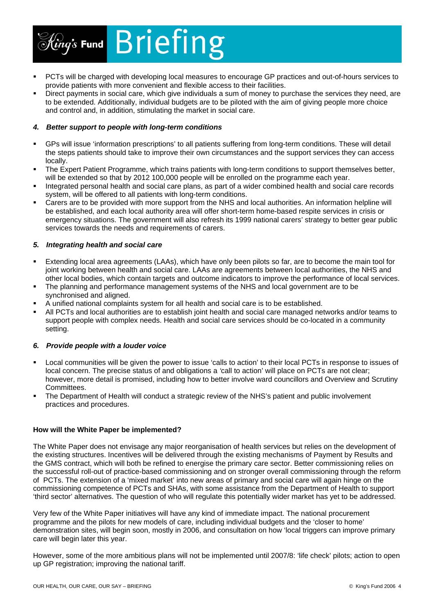

- PCTs will be charged with developing local measures to encourage GP practices and out-of-hours services to provide patients with more convenient and flexible access to their facilities.
- Direct payments in social care, which give individuals a sum of money to purchase the services they need, are to be extended. Additionally, individual budgets are to be piloted with the aim of giving people more choice and control and, in addition, stimulating the market in social care.

# *4. Better support to people with long-term conditions*

- GPs will issue 'information prescriptions' to all patients suffering from long-term conditions. These will detail the steps patients should take to improve their own circumstances and the support services they can access locally.
- The Expert Patient Programme, which trains patients with long-term conditions to support themselves better, will be extended so that by 2012 100,000 people will be enrolled on the programme each year.
- Integrated personal health and social care plans, as part of a wider combined health and social care records system, will be offered to all patients with long-term conditions.
- Carers are to be provided with more support from the NHS and local authorities. An information helpline will be established, and each local authority area will offer short-term home-based respite services in crisis or emergency situations. The government will also refresh its 1999 national carers' strategy to better gear public services towards the needs and requirements of carers.

# *5. Integrating health and social care*

- Extending local area agreements (LAAs), which have only been pilots so far, are to become the main tool for joint working between health and social care. LAAs are agreements between local authorities, the NHS and other local bodies, which contain targets and outcome indicators to improve the performance of local services.
- The planning and performance management systems of the NHS and local government are to be synchronised and aligned.
- A unified national complaints system for all health and social care is to be established.
- All PCTs and local authorities are to establish joint health and social care managed networks and/or teams to support people with complex needs. Health and social care services should be co-located in a community setting.

# *6. Provide people with a louder voice*

- Local communities will be given the power to issue 'calls to action' to their local PCTs in response to issues of local concern. The precise status of and obligations a *'*call to action' will place on PCTs are not clear; however, more detail is promised, including how to better involve ward councillors and Overview and Scrutiny Committees.
- The Department of Health will conduct a strategic review of the NHS's patient and public involvement practices and procedures.

# **How will the White Paper be implemented?**

The White Paper does not envisage any major reorganisation of health services but relies on the development of the existing structures. Incentives will be delivered through the existing mechanisms of Payment by Results and the GMS contract, which will both be refined to energise the primary care sector. Better commissioning relies on the successful roll-out of practice-based commissioning and on stronger overall commissioning through the reform of PCTs. The extension of a 'mixed market' into new areas of primary and social care will again hinge on the commissioning competence of PCTs and SHAs, with some assistance from the Department of Health to support 'third sector' alternatives. The question of who will regulate this potentially wider market has yet to be addressed.

Very few of the White Paper initiatives will have any kind of immediate impact. The national procurement programme and the pilots for new models of care, including individual budgets and the 'closer to home' demonstration sites, will begin soon, mostly in 2006, and consultation on how 'local triggers can improve primary care will begin later this year.

However, some of the more ambitious plans will not be implemented until 2007/8: 'life check' pilots; action to open up GP registration; improving the national tariff.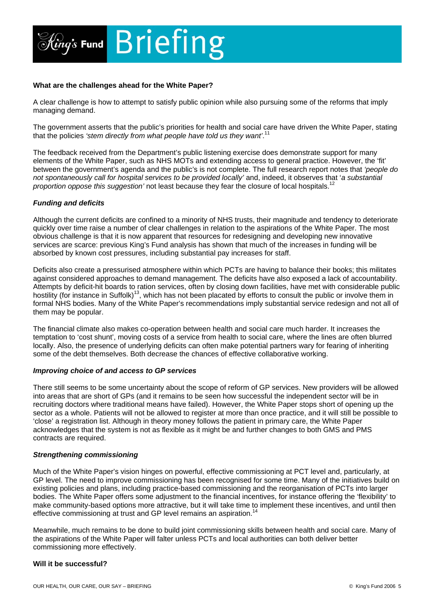

# **What are the challenges ahead for the White Paper?**

A clear challenge is how to attempt to satisfy public opinion while also pursuing some of the reforms that imply managing demand.

The government asserts that the public's priorities for health and social care have driven the White Paper, stating that the policies *'stem directly from what people have told us they want'*. [11](#page-5-10) 

The feedback received from the Department's public listening exercise does demonstrate support for many elements of the White Paper, such as NHS MOTs and extending access to general practice. However, the 'fit' between the government's agenda and the public's is not complete. The full research report notes that *'people do not spontaneously call for hospital services to be provided locally'* and, indeed, it observes that '*a substantial proportion oppose this suggestion'* not least because they fear the closure of local hospitals.[12](#page-5-11) 

# *Funding and deficits*

Although the current deficits are confined to a minority of NHS trusts, their magnitude and tendency to deteriorate quickly over time raise a number of clear challenges in relation to the aspirations of the White Paper. The most obvious challenge is that it is now apparent that resources for redesigning and developing new innovative services are scarce: previous King's Fund analysis has shown that much of the increases in funding will be absorbed by known cost pressures, including substantial pay increases for staff.

Deficits also create a pressurised atmosphere within which PCTs are having to balance their books; this militates against considered approaches to demand management. The deficits have also exposed a lack of accountability. Attempts by deficit-hit boards to ration services, often by closing down facilities, have met with considerable public hostility (for instance in Suffolk)[13,](#page-5-12) which has not been placated by efforts to consult the public or involve them in formal NHS bodies. Many of the White Paper's recommendations imply substantial service redesign and not all of them may be popular.

The financial climate also makes co-operation between health and social care much harder. It increases the temptation to 'cost shunt', moving costs of a service from health to social care, where the lines are often blurred locally. Also, the presence of underlying deficits can often make potential partners wary for fearing of inheriting some of the debt themselves. Both decrease the chances of effective collaborative working.

# *Improving choice of and access to GP services*

There still seems to be some uncertainty about the scope of reform of GP services. New providers will be allowed into areas that are short of GPs (and it remains to be seen how successful the independent sector will be in recruiting doctors where traditional means have failed). However, the White Paper stops short of opening up the sector as a whole. Patients will not be allowed to register at more than once practice, and it will still be possible to 'close' a registration list. Although in theory money follows the patient in primary care, the White Paper acknowledges that the system is not as flexible as it might be and further changes to both GMS and PMS contracts are required.

# *Strengthening commissioning*

Much of the White Paper's vision hinges on powerful, effective commissioning at PCT level and, particularly, at GP level. The need to improve commissioning has been recognised for some time. Many of the initiatives build on existing policies and plans, including practice-based commissioning and the reorganisation of PCTs into larger bodies. The White Paper offers some adjustment to the financial incentives, for instance offering the 'flexibility' to make community-based options more attractive, but it will take time to implement these incentives, and until then effective commissioning at trust and GP level remains an aspiration.<sup>1</sup>

Meanwhile, much remains to be done to build joint commissioning skills between health and social care. Many of the aspirations of the White Paper will falter unless PCTs and local authorities can both deliver better commissioning more effectively.

# **Will it be successful?**